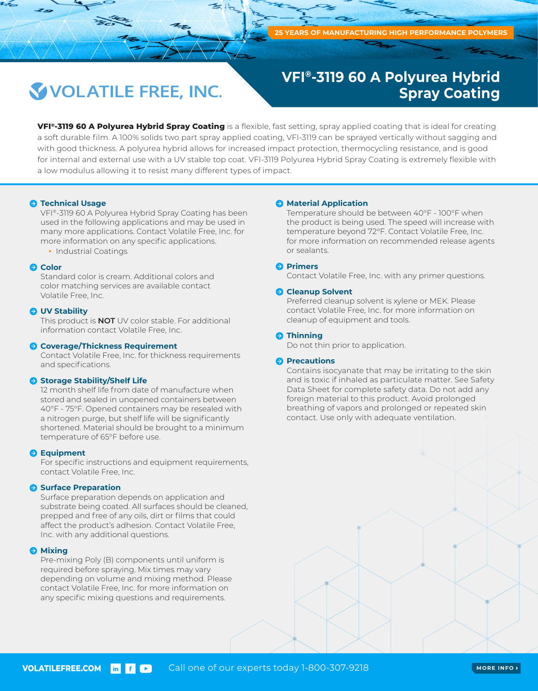## **VOLATILE FREE, INC.**

### **VFI®-3119 60 A Polyurea Hybrid Spray Coating**

**VFI®-3119 60 A Polyurea Hybrid Spray Coating** is a flexible, fast setting, spray applied coating that is ideal for creating a soft durable film. A 100% solids two part spray applied coating, VFI-3119 can be sprayed vertically without sagging and with good thickness. A polyurea hybrid allows for increased impact protection, thermocycling resistance, and is good for internal and external use with a UV stable top coat. VFI-3119 Polyurea Hybrid Spray Coating is extremely flexible with a low modulus allowing it to resist many different types of impact.

#### $\Theta$  **Technical Usage**

VFI®-3119 60 A Polyurea Hybrid Spray Coating has been used in the following applications and may be used in many more applications. Contact Volatile Free, Inc. for more information on any specific applications.

• Industrial Coatings

#### **Q** Color

Standard color is cream. Additional colors and color matching services are available contact Volatile Free, Inc.

#### **UV Stability**

This product is **NOT** UV color stable. For additional information contact Volatile Free, Inc.

#### **Coverage/Thickness Requirement**

Contact Volatile Free, Inc. for thickness requirements and specifications.

#### **Storage Stability/Shelf Life**

12 month shelf life from date of manufacture when stored and sealed in unopened containers between 40°F - 75°F. Opened containers may be resealed with a nitrogen purge, but shelf life will be significantly shortened. Material should be brought to a minimum temperature of 65°F before use.

#### **B** Equipment

For specific instructions and equipment requirements, contact Volatile Free, Inc.

#### **Surface Preparation**

Surface preparation depends on application and substrate being coated. All surfaces should be cleaned, prepped and free of any oils, dirt or films that could affect the product's adhesion. Contact Volatile Free, Inc. with any additional questions.

#### **A** Mixing

Pre-mixing Poly (B) components until uniform is required before spraying. Mix times may vary depending on volume and mixing method. Please contact Volatile Free, Inc. for more information on any specific mixing questions and requirements.

#### **A** Material Application

Temperature should be between 40°F - 100°F when the product is being used. The speed will increase with temperature beyond 72°F. Contact Volatile Free, Inc. for more information on recommended release agents or sealants.

#### **Primers**

Contact Volatile Free, Inc. with any primer questions.

#### **Cleanup Solvent**

Preferred cleanup solvent is xylene or MEK. Please contact Volatile Free, Inc. for more information on cleanup of equipment and tools.

#### **O** Thinning

Do not thin prior to application.

#### **Precautions**

Contains isocyanate that may be irritating to the skin and is toxic if inhaled as particulate matter. See Safety Data Sheet for complete safety data. Do not add any foreign material to this product. Avoid prolonged breathing of vapors and prolonged or repeated skin contact. Use only with adequate ventilation.